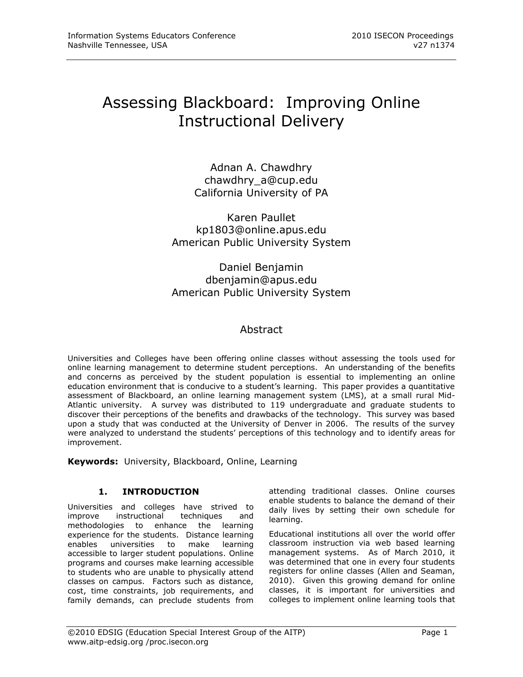# Assessing Blackboard: Improving Online Instructional Delivery

Adnan A. Chawdhry chawdhry\_a@cup.edu California University of PA

Karen Paullet kp1803@online.apus.edu American Public University System

# Daniel Benjamin dbenjamin@apus.edu American Public University System

# Abstract

Universities and Colleges have been offering online classes without assessing the tools used for online learning management to determine student perceptions. An understanding of the benefits and concerns as perceived by the student population is essential to implementing an online education environment that is conducive to a student's learning. This paper provides a quantitative assessment of Blackboard, an online learning management system (LMS), at a small rural Mid-Atlantic university. A survey was distributed to 119 undergraduate and graduate students to discover their perceptions of the benefits and drawbacks of the technology. This survey was based upon a study that was conducted at the University of Denver in 2006. The results of the survey were analyzed to understand the students' perceptions of this technology and to identify areas for improvement.

**Keywords:** University, Blackboard, Online, Learning

# **1. INTRODUCTION**

Universities and colleges have strived to improve instructional techniques and methodologies to enhance the learning experience for the students. Distance learning enables universities to make learning accessible to larger student populations. Online programs and courses make learning accessible to students who are unable to physically attend classes on campus. Factors such as distance, cost, time constraints, job requirements, and family demands, can preclude students from

attending traditional classes. Online courses enable students to balance the demand of their daily lives by setting their own schedule for learning.

Educational institutions all over the world offer classroom instruction via web based learning management systems. As of March 2010, it was determined that one in every four students registers for online classes (Allen and Seaman, 2010). Given this growing demand for online classes, it is important for universities and colleges to implement online learning tools that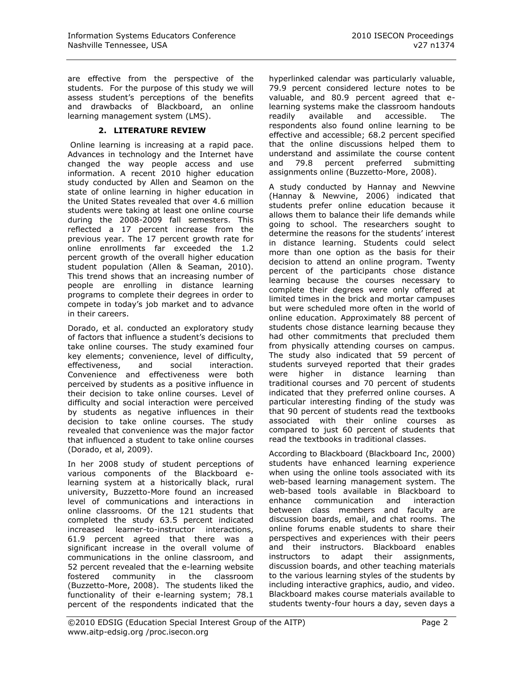are effective from the perspective of the students. For the purpose of this study we will assess student's perceptions of the benefits and drawbacks of Blackboard, an online learning management system (LMS).

## **2. LITERATURE REVIEW**

Online learning is increasing at a rapid pace. Advances in technology and the Internet have changed the way people access and use information. A recent 2010 higher education study conducted by Allen and Seamon on the state of online learning in higher education in the United States revealed that over 4.6 million students were taking at least one online course during the 2008-2009 fall semesters. This reflected a 17 percent increase from the previous year. The 17 percent growth rate for online enrollments far exceeded the 1.2 percent growth of the overall higher education student population (Allen & Seaman, 2010). This trend shows that an increasing number of people are enrolling in distance learning programs to complete their degrees in order to compete in today's job market and to advance in their careers.

Dorado, et al. conducted an exploratory study of factors that influence a student's decisions to take online courses. The study examined four key elements; convenience, level of difficulty, effectiveness, and social interaction. Convenience and effectiveness were both perceived by students as a positive influence in their decision to take online courses. Level of difficulty and social interaction were perceived by students as negative influences in their decision to take online courses. The study revealed that convenience was the major factor that influenced a student to take online courses (Dorado, et al, 2009).

In her 2008 study of student perceptions of various components of the Blackboard elearning system at a historically black, rural university, Buzzetto-More found an increased level of communications and interactions in online classrooms. Of the 121 students that completed the study 63.5 percent indicated increased learner-to-instructor interactions, 61.9 percent agreed that there was a significant increase in the overall volume of communications in the online classroom, and 52 percent revealed that the e-learning website fostered community in the classroom (Buzzetto-More, 2008). The students liked the functionality of their e-learning system; 78.1 percent of the respondents indicated that the hyperlinked calendar was particularly valuable, 79.9 percent considered lecture notes to be valuable, and 80.9 percent agreed that elearning systems make the classroom handouts readily available and accessible. The respondents also found online learning to be effective and accessible; 68.2 percent specified that the online discussions helped them to understand and assimilate the course content and 79.8 percent preferred submitting assignments online (Buzzetto-More, 2008).

A study conducted by Hannay and Newvine (Hannay & Newvine, 2006) indicated that students prefer online education because it allows them to balance their life demands while going to school. The researchers sought to determine the reasons for the students' interest in distance learning. Students could select more than one option as the basis for their decision to attend an online program. Twenty percent of the participants chose distance learning because the courses necessary to complete their degrees were only offered at limited times in the brick and mortar campuses but were scheduled more often in the world of online education. Approximately 88 percent of students chose distance learning because they had other commitments that precluded them from physically attending courses on campus. The study also indicated that 59 percent of students surveyed reported that their grades were higher in distance learning than traditional courses and 70 percent of students indicated that they preferred online courses. A particular interesting finding of the study was that 90 percent of students read the textbooks associated with their online courses as compared to just 60 percent of students that read the textbooks in traditional classes.

According to Blackboard (Blackboard Inc, 2000) students have enhanced learning experience when using the online tools associated with its web-based learning management system. The web-based tools available in Blackboard to enhance communication and interaction between class members and faculty are discussion boards, email, and chat rooms. The online forums enable students to share their perspectives and experiences with their peers and their instructors. Blackboard enables instructors to adapt their assignments, discussion boards, and other teaching materials to the various learning styles of the students by including interactive graphics, audio, and video. Blackboard makes course materials available to students twenty-four hours a day, seven days a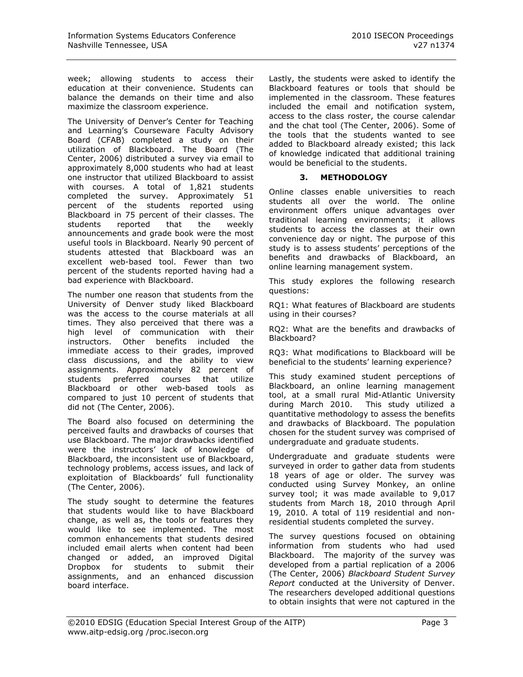week; allowing students to access their education at their convenience. Students can balance the demands on their time and also maximize the classroom experience.

The University of Denver's Center for Teaching and Learning's Courseware Faculty Advisory Board (CFAB) completed a study on their utilization of Blackboard. The Board (The Center, 2006) distributed a survey via email to approximately 8,000 students who had at least one instructor that utilized Blackboard to assist with courses. A total of 1,821 students completed the survey. Approximately 51 percent of the students reported using Blackboard in 75 percent of their classes. The students reported that the weekly announcements and grade book were the most useful tools in Blackboard. Nearly 90 percent of students attested that Blackboard was an excellent web-based tool. Fewer than two percent of the students reported having had a bad experience with Blackboard.

The number one reason that students from the University of Denver study liked Blackboard was the access to the course materials at all times. They also perceived that there was a high level of communication with their instructors. Other benefits included the immediate access to their grades, improved class discussions, and the ability to view assignments. Approximately 82 percent of students preferred courses that utilize Blackboard or other web-based tools as compared to just 10 percent of students that did not (The Center, 2006).

The Board also focused on determining the perceived faults and drawbacks of courses that use Blackboard. The major drawbacks identified were the instructors' lack of knowledge of Blackboard, the inconsistent use of Blackboard, technology problems, access issues, and lack of exploitation of Blackboards' full functionality (The Center, 2006).

The study sought to determine the features that students would like to have Blackboard change, as well as, the tools or features they would like to see implemented. The most common enhancements that students desired included email alerts when content had been changed or added, an improved Digital Dropbox for students to submit their assignments, and an enhanced discussion board interface.

Lastly, the students were asked to identify the Blackboard features or tools that should be implemented in the classroom. These features included the email and notification system, access to the class roster, the course calendar and the chat tool (The Center, 2006). Some of the tools that the students wanted to see added to Blackboard already existed; this lack of knowledge indicated that additional training would be beneficial to the students.

## **3. METHODOLOGY**

Online classes enable universities to reach students all over the world. The online environment offers unique advantages over traditional learning environments; it allows students to access the classes at their own convenience day or night. The purpose of this study is to assess students' perceptions of the benefits and drawbacks of Blackboard, an online learning management system.

This study explores the following research questions:

RQ1: What features of Blackboard are students using in their courses?

RQ2: What are the benefits and drawbacks of Blackboard?

RQ3: What modifications to Blackboard will be beneficial to the students' learning experience?

This study examined student perceptions of Blackboard, an online learning management tool, at a small rural Mid-Atlantic University during March 2010. This study utilized a quantitative methodology to assess the benefits and drawbacks of Blackboard. The population chosen for the student survey was comprised of undergraduate and graduate students.

Undergraduate and graduate students were surveyed in order to gather data from students 18 years of age or older. The survey was conducted using Survey Monkey, an online survey tool; it was made available to 9,017 students from March 18, 2010 through April 19, 2010. A total of 119 residential and nonresidential students completed the survey.

The survey questions focused on obtaining information from students who had used Blackboard. The majority of the survey was developed from a partial replication of a 2006 (The Center, 2006) *Blackboard Student Survey Report* conducted at the University of Denver. The researchers developed additional questions to obtain insights that were not captured in the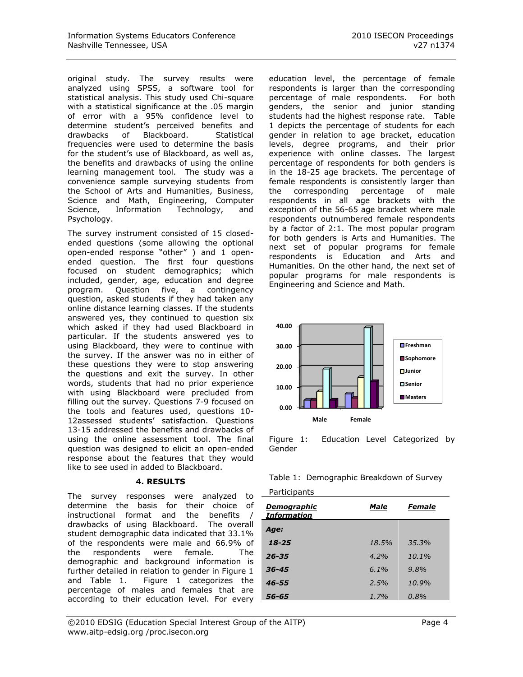original study. The survey results were analyzed using SPSS, a software tool for statistical analysis. This study used Chi-square with a statistical significance at the .05 margin of error with a 95% confidence level to determine student's perceived benefits and drawbacks of Blackboard. Statistical frequencies were used to determine the basis for the student's use of Blackboard, as well as, the benefits and drawbacks of using the online learning management tool. The study was a convenience sample surveying students from the School of Arts and Humanities, Business, Science and Math, Engineering, Computer Science, Information Technology, and Psychology.

The survey instrument consisted of 15 closedended questions (some allowing the optional open-ended response "other" ) and 1 openended question. The first four questions focused on student demographics; which included, gender, age, education and degree program. Question five, a contingency question, asked students if they had taken any online distance learning classes. If the students answered yes, they continued to question six which asked if they had used Blackboard in particular. If the students answered yes to using Blackboard, they were to continue with the survey. If the answer was no in either of these questions they were to stop answering the questions and exit the survey. In other words, students that had no prior experience with using Blackboard were precluded from filling out the survey. Questions 7-9 focused on the tools and features used, questions 10- 12assessed students' satisfaction. Questions 13-15 addressed the benefits and drawbacks of using the online assessment tool. The final question was designed to elicit an open-ended response about the features that they would like to see used in added to Blackboard.

## **4. RESULTS**

The survey responses were analyzed to determine the basis for their choice of instructional format and the benefits / drawbacks of using Blackboard. The overall student demographic data indicated that 33.1% of the respondents were male and 66.9% of the respondents were female. The demographic and background information is further detailed in relation to gender in Figure 1 and Table 1. Figure 1 categorizes the percentage of males and females that are according to their education level. For every L

education level, the percentage of female respondents is larger than the corresponding percentage of male respondents. For both genders, the senior and junior standing students had the highest response rate. Table 1 depicts the percentage of students for each gender in relation to age bracket, education levels, degree programs, and their prior experience with online classes. The largest percentage of respondents for both genders is in the 18-25 age brackets. The percentage of female respondents is consistently larger than the corresponding percentage of male respondents in all age brackets with the exception of the 56-65 age bracket where male respondents outnumbered female respondents by a factor of 2:1. The most popular program for both genders is Arts and Humanities. The next set of popular programs for female respondents is Education and Arts and Humanities. On the other hand, the next set of popular programs for male respondents is Engineering and Science and Math.



Figure 1: Education Level Categorized by Gender

|  | Table 1: Demographic Breakdown of Survey |  |  |
|--|------------------------------------------|--|--|
|--|------------------------------------------|--|--|

| Participants |  |
|--------------|--|
|              |  |

| Demographic<br><i><b>Information</b></i> | Male    | <b>Female</b> |
|------------------------------------------|---------|---------------|
| Age:                                     |         |               |
| 18-25                                    | 18.5%   | 35.3%         |
| $26 - 35$                                | 4.2%    | $10.1\%$      |
| $36 - 45$                                | $6.1\%$ | 9.8%          |
| 46-55                                    | 2.5%    | 10.9%         |
| 56-65                                    | 1.7%    | 0.8%          |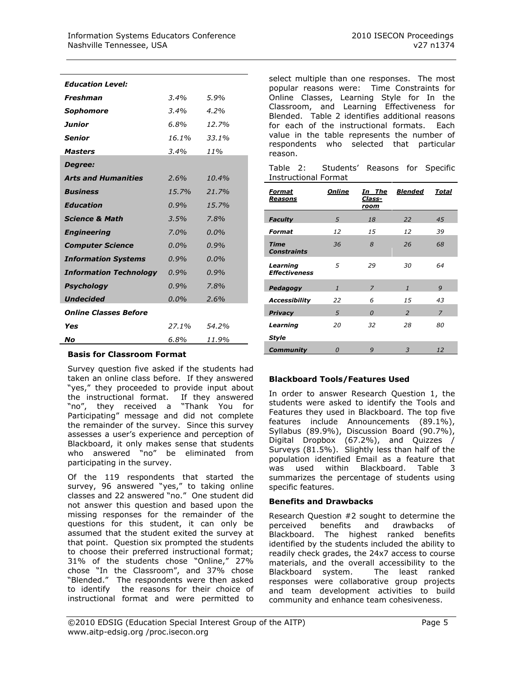| <b>Education Level:</b>       |         |         |
|-------------------------------|---------|---------|
| <b>Freshman</b>               | 3.4%    | 5.9%    |
| Sophomore                     | 3.4%    | 4.2%    |
| Junior                        | $6.8\%$ | 12.7%   |
| Senior                        | 16.1%   | 33.1%   |
| <b>Masters</b>                | $3.4\%$ | 11%     |
| Degree:                       |         |         |
| <b>Arts and Humanities</b>    | 2.6%    | 10.4%   |
| <b>Business</b>               | 15.7%   | 21.7%   |
| <b>Education</b>              | 0.9%    | 15.7%   |
| <b>Science &amp; Math</b>     | 3.5%    | 7.8%    |
| <b>Engineering</b>            | $7.0\%$ | $0.0\%$ |
| <b>Computer Science</b>       | $0.0\%$ | 0.9%    |
| <b>Information Systems</b>    | $0.9\%$ | $0.0\%$ |
| <b>Information Technology</b> | $0.9\%$ | 0.9%    |
| Psychology                    | 0.9%    | 7.8%    |
| <b>Undecided</b>              | $0.0\%$ | 2.6%    |
| <b>Online Classes Before</b>  |         |         |
| Yes                           | 27.1%   | 54.2%   |
| No                            | 6.8%    | 11.9%   |

#### **Basis for Classroom Format**

Survey question five asked if the students had taken an online class before. If they answered "yes," they proceeded to provide input about the instructional format. If they answered "no", they received a "Thank You for Participating" message and did not complete the remainder of the survey. Since this survey assesses a user's experience and perception of Blackboard, it only makes sense that students who answered "no" be eliminated from participating in the survey.

Of the 119 respondents that started the survey, 96 answered "yes," to taking online classes and 22 answered "no." One student did not answer this question and based upon the missing responses for the remainder of the questions for this student, it can only be assumed that the student exited the survey at that point. Question six prompted the students to choose their preferred instructional format; 31% of the students chose "Online," 27% chose "In the Classroom", and 37% chose "Blended." The respondents were then asked to identify the reasons for their choice of instructional format and were permitted to

select multiple than one responses. The most popular reasons were: Time Constraints for Online Classes, Learning Style for In the Classroom, and Learning Effectiveness for Blended. Table 2 identifies additional reasons for each of the instructional formats. Each value in the table represents the number of respondents who selected that particular reason.

|  | Table 2: Students' Reasons for Specific |  |  |
|--|-----------------------------------------|--|--|
|  | <b>Instructional Format</b>             |  |  |

| Format<br><u>Reasons</u>          | <b>Online</b> | In The<br>Class-<br>room | <b>Blended</b> | Total          |
|-----------------------------------|---------------|--------------------------|----------------|----------------|
| <b>Faculty</b>                    | 5             | 18                       | 22             | 45             |
| Format                            | 12            | 15                       | 12             | 39             |
| <b>Time</b><br><b>Constraints</b> | 36            | 8                        | 26             | 68             |
| Learning<br><b>Effectiveness</b>  | 5             | 29                       | 30             | 64             |
| Pedagogy                          | $\mathbf{1}$  | $\overline{z}$           | $\mathbf{1}$   | 9              |
| <b>Accessibility</b>              | 22            | 6                        | 15             | 43             |
| <b>Privacy</b>                    | 5             | $\Omega$                 | $\overline{2}$ | $\overline{z}$ |
| Learning                          | 20            | 32                       | 28             | 80             |
| Style                             |               |                          |                |                |
| Community                         | $\Omega$      | 9                        | 3              | 12             |

# **Blackboard Tools/Features Used**

In order to answer Research Question 1, the students were asked to identify the Tools and Features they used in Blackboard. The top five features include Announcements (89.1%), Syllabus (89.9%), Discussion Board (90.7%), Digital Dropbox (67.2%), and Quizzes / Surveys (81.5%). Slightly less than half of the population identified Email as a feature that was used within Blackboard. Table 3 summarizes the percentage of students using specific features.

## **Benefits and Drawbacks**

Research Question #2 sought to determine the perceived benefits and drawbacks of Blackboard. The highest ranked benefits identified by the students included the ability to readily check grades, the 24x7 access to course materials, and the overall accessibility to the Blackboard system. The least ranked responses were collaborative group projects and team development activities to build community and enhance team cohesiveness.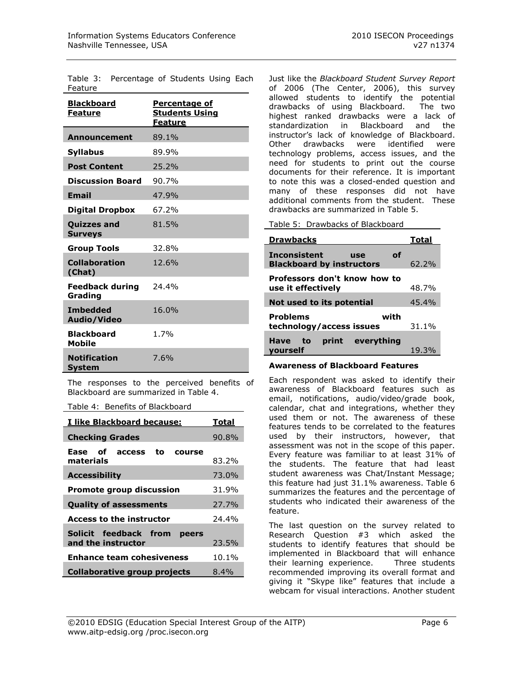Table 3: Percentage of Students Using Each Feature

| <u>Blackboard</u><br><b>Feature</b>  | <b>Percentage of</b><br><b>Students Using</b><br><b>Feature</b> |
|--------------------------------------|-----------------------------------------------------------------|
| <b>Announcement</b>                  | 89.1%                                                           |
| <b>Syllabus</b>                      | 89.9%                                                           |
| <b>Post Content</b>                  | 25.2%                                                           |
| <b>Discussion Board</b>              | 90.7%                                                           |
| <b>Email</b>                         | 47.9%                                                           |
| <b>Digital Dropbox</b>               | 67.2%                                                           |
| <b>Quizzes and</b><br><b>Surveys</b> | 81.5%                                                           |
| <b>Group Tools</b>                   | 32.8%                                                           |
| <b>Collaboration</b><br>(Chat)       | 12.6%                                                           |
| <b>Feedback during</b><br>Grading    | 24.4%                                                           |
| <b>Imbedded</b><br>Audio/Video       | 16.0%                                                           |
| <b>Blackboard</b><br><b>Mobile</b>   | 1.7%                                                            |
| <b>Notification</b><br>System        | 7.6%                                                            |

The responses to the perceived benefits of Blackboard are summarized in Table 4.

Table 4: Benefits of Blackboard

| I like Blackboard because:<br>Total                           |          |  |
|---------------------------------------------------------------|----------|--|
| <b>Checking Grades</b>                                        | 90.8%    |  |
| Ease of access to<br>course<br>materials                      | 83.2%    |  |
| <b>Accessibility</b>                                          | 73.0%    |  |
| <b>Promote group discussion</b><br>31.9%                      |          |  |
| 27.7%<br><b>Quality of assessments</b>                        |          |  |
| <b>Access to the instructor</b>                               | 24.4%    |  |
| Solicit feedback from<br>peers<br>and the instructor<br>23.5% |          |  |
| <b>Enhance team cohesiveness</b>                              | $10.1\%$ |  |
| Collaborative group projects                                  | $8.4\%$  |  |

Just like the *Blackboard Student Survey Report*  of 2006 (The Center, 2006), this survey allowed students to identify the potential drawbacks of using Blackboard. The two highest ranked drawbacks were a lack of standardization in Blackboard and the instructor's lack of knowledge of Blackboard. Other drawbacks were identified were technology problems, access issues, and the need for students to print out the course documents for their reference. It is important to note this was a closed-ended question and many of these responses did not have additional comments from the student. These drawbacks are summarized in Table 5.

Table 5: Drawbacks of Blackboard

| <b>Drawbacks</b>                                                            | Total    |
|-----------------------------------------------------------------------------|----------|
| <b>Inconsistent</b><br>οf<br><b>use</b><br><b>Blackboard by instructors</b> | $62.2\%$ |
| Professors don't know how to<br>use it effectively                          | 48.7%    |
| Not used to its potential                                                   | 45.4%    |
| Problems<br>with<br>technology/access issues                                | $31.1\%$ |
| print everything<br>Have<br>to<br>vourself                                  | 19.3%    |

#### **Awareness of Blackboard Features**

Each respondent was asked to identify their awareness of Blackboard features such as email, notifications, audio/video/grade book, calendar, chat and integrations, whether they used them or not. The awareness of these features tends to be correlated to the features used by their instructors, however, that assessment was not in the scope of this paper. Every feature was familiar to at least 31% of the students. The feature that had least student awareness was Chat/Instant Message; this feature had just 31.1% awareness. Table 6 summarizes the features and the percentage of students who indicated their awareness of the feature.

The last question on the survey related to Research Question #3 which asked the students to identify features that should be implemented in Blackboard that will enhance their learning experience. Three students recommended improving its overall format and giving it "Skype like" features that include a webcam for visual interactions. Another student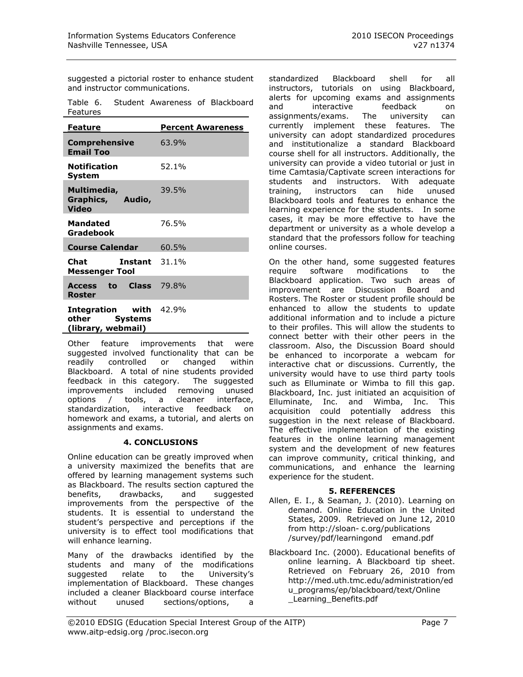suggested a pictorial roster to enhance student and instructor communications.

Table 6. Student Awareness of Blackboard Features

| <b>Feature</b>                                                       | <b>Percent Awareness</b> |
|----------------------------------------------------------------------|--------------------------|
| <b>Comprehensive</b><br><b>Email Too</b>                             | 63.9%                    |
| <b>Notification</b><br>System                                        | 52.1%                    |
| Multimedia,<br>Graphics, Audio,<br><b>Video</b>                      | 39.5%                    |
| <b>Mandated</b><br>Gradebook                                         | 76.5%                    |
| <b>Course Calendar</b>                                               | 60.5%                    |
| Chat<br><b>Instant</b> $31.1\%$<br><b>Messenger Tool</b>             |                          |
| Access to Class 79.8%<br>Roster                                      |                          |
| <b>Integration</b> with 42.9%<br>other Systems<br>(library, webmail) |                          |

Other feature improvements that were suggested involved functionality that can be readily controlled or changed within Blackboard. A total of nine students provided feedback in this category. The suggested improvements included removing unused options / tools, a cleaner interface, standardization, interactive feedback on homework and exams, a tutorial, and alerts on assignments and exams.

# **4. CONCLUSIONS**

Online education can be greatly improved when a university maximized the benefits that are offered by learning management systems such as Blackboard. The results section captured the benefits, drawbacks, and suggested improvements from the perspective of the students. It is essential to understand the student's perspective and perceptions if the university is to effect tool modifications that will enhance learning.

Many of the drawbacks identified by the students and many of the modifications<br>suggested relate to the University's suggested relate to the implementation of Blackboard. These changes included a cleaner Blackboard course interface without unused sections/options, a

standardized Blackboard shell for all instructors, tutorials on using Blackboard, alerts for upcoming exams and assignments and interactive feedback on<br>assignments/exams. The university can assignments/exams. The university can currently implement these features. The university can adopt standardized procedures and institutionalize a standard Blackboard course shell for all instructors. Additionally, the university can provide a video tutorial or just in time Camtasia/Captivate screen interactions for students and instructors. With adequate training, instructors can hide unused Blackboard tools and features to enhance the learning experience for the students. In some cases, it may be more effective to have the department or university as a whole develop a standard that the professors follow for teaching online courses.

On the other hand, some suggested features require software modifications to the Blackboard application. Two such areas of improvement are Discussion Board and Rosters. The Roster or student profile should be enhanced to allow the students to update additional information and to include a picture to their profiles. This will allow the students to connect better with their other peers in the classroom. Also, the Discussion Board should be enhanced to incorporate a webcam for interactive chat or discussions. Currently, the university would have to use third party tools such as Elluminate or Wimba to fill this gap. Blackboard, Inc. just initiated an acquisition of Elluminate, Inc. and Wimba, Inc. This acquisition could potentially address this suggestion in the next release of Blackboard. The effective implementation of the existing features in the online learning management system and the development of new features can improve community, critical thinking, and communications, and enhance the learning experience for the student.

# **5. REFERENCES**

- Allen, E. I., & Seaman, J. (2010). Learning on demand. Online Education in the United States, 2009. Retrieved on June 12, 2010 from http://sloan- c.org/publications /survey/pdf/learningond emand.pdf
- Blackboard Inc. (2000). Educational benefits of online learning. A Blackboard tip sheet. Retrieved on February 26, 2010 from http://med.uth.tmc.edu/administration/ed u\_programs/ep/blackboard/text/Online \_Learning\_Benefits.pdf